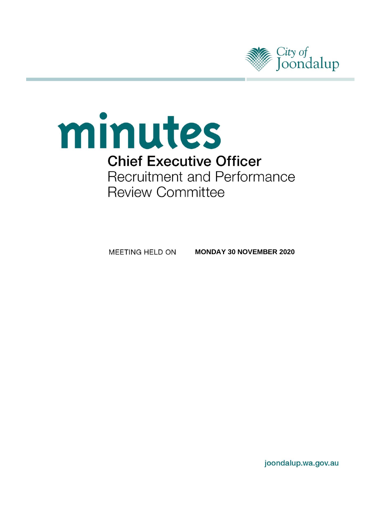

# minutes **Chief Executive Officer** Recruitment and Performance **Review Committee**

MEETING HELD ON **MONDAY 30 NOVEMBER 2020**

joondalup.wa.gov.au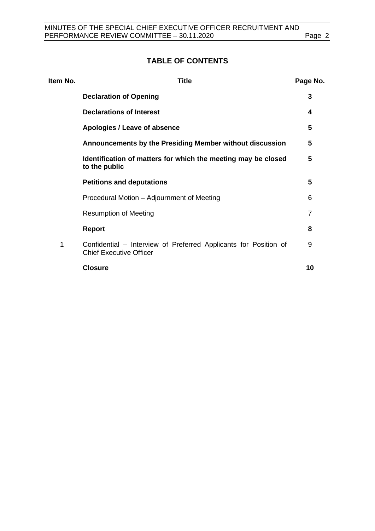# **TABLE OF CONTENTS**

| Item No. | <b>Title</b>                                                                                       | Page No. |
|----------|----------------------------------------------------------------------------------------------------|----------|
|          | <b>Declaration of Opening</b>                                                                      | 3        |
|          | <b>Declarations of Interest</b>                                                                    | 4        |
|          | Apologies / Leave of absence                                                                       | 5        |
|          | Announcements by the Presiding Member without discussion                                           | 5        |
|          | Identification of matters for which the meeting may be closed<br>to the public                     | 5        |
|          | <b>Petitions and deputations</b>                                                                   | 5        |
|          | Procedural Motion - Adjournment of Meeting                                                         | 6        |
|          | <b>Resumption of Meeting</b>                                                                       | 7        |
|          | <b>Report</b>                                                                                      | 8        |
| 1        | Confidential – Interview of Preferred Applicants for Position of<br><b>Chief Executive Officer</b> | 9        |
|          | <b>Closure</b>                                                                                     | 10       |
|          |                                                                                                    |          |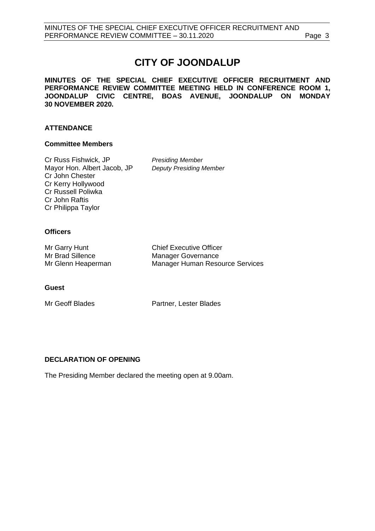# **CITY OF JOONDALUP**

**MINUTES OF THE SPECIAL CHIEF EXECUTIVE OFFICER RECRUITMENT AND PERFORMANCE REVIEW COMMITTEE MEETING HELD IN CONFERENCE ROOM 1, JOONDALUP CIVIC CENTRE, BOAS AVENUE, JOONDALUP ON MONDAY 30 NOVEMBER 2020.** 

# **ATTENDANCE**

# **Committee Members**

Cr Russ Fishwick, JP *Presiding Member* Mayor Hon. Albert Jacob, JP *Deputy Presiding Member* Cr John Chester Cr Kerry Hollywood Cr Russell Poliwka Cr John Raftis Cr Philippa Taylor

# **Officers**

| Mr Garry Hunt      | <b>Chief Executive Officer</b>         |
|--------------------|----------------------------------------|
| Mr Brad Sillence   | Manager Governance                     |
| Mr Glenn Heaperman | <b>Manager Human Resource Services</b> |

### **Guest**

Mr Geoff Blades **Partner**, Lester Blades

# <span id="page-2-0"></span>**DECLARATION OF OPENING**

<span id="page-2-1"></span>The Presiding Member declared the meeting open at 9.00am.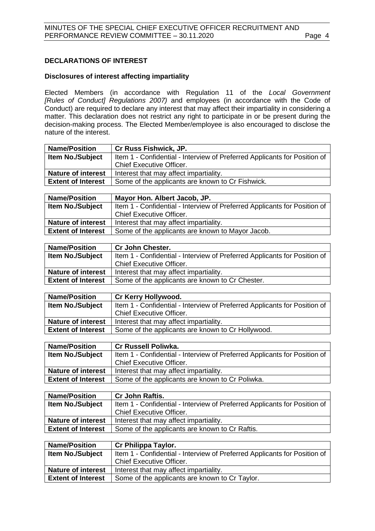# **DECLARATIONS OF INTEREST**

# **Disclosures of interest affecting impartiality**

Elected Members (in accordance with Regulation 11 of the *Local Government [Rules of Conduct] Regulations 2007)* and employees (in accordance with the Code of Conduct) are required to declare any interest that may affect their impartiality in considering a matter. This declaration does not restrict any right to participate in or be present during the decision-making process. The Elected Member/employee is also encouraged to disclose the nature of the interest.

| Cr Russ Fishwick, JP.                                                     |  |
|---------------------------------------------------------------------------|--|
| Item 1 - Confidential - Interview of Preferred Applicants for Position of |  |
| <b>Chief Executive Officer.</b>                                           |  |
| <b>Nature of interest</b><br>Interest that may affect impartiality.       |  |
| Some of the applicants are known to Cr Fishwick.                          |  |
|                                                                           |  |

| <b>Name/Position</b>                                                          | Mayor Hon. Albert Jacob, JP.                                              |  |
|-------------------------------------------------------------------------------|---------------------------------------------------------------------------|--|
| <b>Item No./Subject</b>                                                       | Item 1 - Confidential - Interview of Preferred Applicants for Position of |  |
|                                                                               | <b>Chief Executive Officer.</b>                                           |  |
| <b>Nature of interest</b>                                                     | Interest that may affect impartiality.                                    |  |
| <b>Extent of Interest</b><br>Some of the applicants are known to Mayor Jacob. |                                                                           |  |

| <b>Name/Position</b>      | <b>Cr John Chester.</b>                                                   |  |
|---------------------------|---------------------------------------------------------------------------|--|
| <b>Item No./Subject</b>   | Item 1 - Confidential - Interview of Preferred Applicants for Position of |  |
|                           | <b>Chief Executive Officer.</b>                                           |  |
| <b>Nature of interest</b> | Interest that may affect impartiality.                                    |  |
| <b>Extent of Interest</b> | Some of the applicants are known to Cr Chester.                           |  |
|                           |                                                                           |  |

| <b>Name/Position</b>      | <b>Cr Kerry Hollywood.</b>                                                |  |
|---------------------------|---------------------------------------------------------------------------|--|
| <b>Item No./Subject</b>   | Item 1 - Confidential - Interview of Preferred Applicants for Position of |  |
|                           | <b>Chief Executive Officer.</b>                                           |  |
| <b>Nature of interest</b> | Interest that may affect impartiality.                                    |  |
| <b>Extent of Interest</b> | Some of the applicants are known to Cr Hollywood.                         |  |
|                           |                                                                           |  |

| <b>Name/Position</b>      | <b>Cr Russell Poliwka.</b>                                                |  |
|---------------------------|---------------------------------------------------------------------------|--|
| <b>Item No./Subject</b>   | Item 1 - Confidential - Interview of Preferred Applicants for Position of |  |
|                           | <b>Chief Executive Officer.</b>                                           |  |
| <b>Nature of interest</b> | Interest that may affect impartiality.                                    |  |
| <b>Extent of Interest</b> | Some of the applicants are known to Cr Poliwka.                           |  |
|                           |                                                                           |  |

| <b>Name/Position</b>                                                | <b>Cr John Raftis.</b>                                                    |  |
|---------------------------------------------------------------------|---------------------------------------------------------------------------|--|
| <b>Item No./Subject</b>                                             | Item 1 - Confidential - Interview of Preferred Applicants for Position of |  |
|                                                                     | <b>Chief Executive Officer.</b>                                           |  |
| <b>Nature of interest</b><br>Interest that may affect impartiality. |                                                                           |  |
| <b>Extent of Interest</b>                                           | Some of the applicants are known to Cr Raftis.                            |  |

| <b>Name/Position</b>                                                | Cr Philippa Taylor.                                                       |  |
|---------------------------------------------------------------------|---------------------------------------------------------------------------|--|
| <b>Item No./Subject</b>                                             | Item 1 - Confidential - Interview of Preferred Applicants for Position of |  |
|                                                                     | <b>Chief Executive Officer.</b>                                           |  |
| <b>Nature of interest</b><br>Interest that may affect impartiality. |                                                                           |  |
| <b>Extent of Interest</b>                                           | Some of the applicants are known to Cr Taylor.                            |  |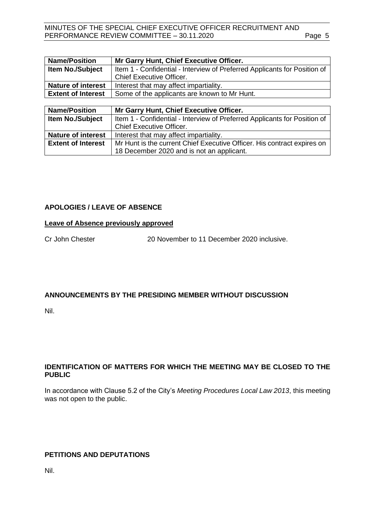MINUTES OF THE SPECIAL CHIEF EXECUTIVE OFFICER RECRUITMENT AND PERFORMANCE REVIEW COMMITTEE - 30.11.2020 Page 5

| <b>Name/Position</b>      | Mr Garry Hunt, Chief Executive Officer.                                   |  |
|---------------------------|---------------------------------------------------------------------------|--|
| <b>Item No./Subject</b>   | Item 1 - Confidential - Interview of Preferred Applicants for Position of |  |
|                           | <b>Chief Executive Officer.</b>                                           |  |
| <b>Nature of interest</b> | Interest that may affect impartiality.                                    |  |
| <b>Extent of Interest</b> | Some of the applicants are known to Mr Hunt.                              |  |

| <b>Name/Position</b>      | Mr Garry Hunt, Chief Executive Officer.                                   |  |
|---------------------------|---------------------------------------------------------------------------|--|
| <b>Item No./Subject</b>   | Item 1 - Confidential - Interview of Preferred Applicants for Position of |  |
|                           | <b>Chief Executive Officer.</b>                                           |  |
| <b>Nature of interest</b> | Interest that may affect impartiality.                                    |  |
| <b>Extent of Interest</b> | Mr Hunt is the current Chief Executive Officer. His contract expires on   |  |
|                           | 18 December 2020 and is not an applicant.                                 |  |

# <span id="page-4-0"></span>**APOLOGIES / LEAVE OF ABSENCE**

### **Leave of Absence previously approved**

Cr John Chester 20 November to 11 December 2020 inclusive.

# <span id="page-4-1"></span>**ANNOUNCEMENTS BY THE PRESIDING MEMBER WITHOUT DISCUSSION**

Nil.

# <span id="page-4-2"></span>**IDENTIFICATION OF MATTERS FOR WHICH THE MEETING MAY BE CLOSED TO THE PUBLIC**

In accordance with Clause 5.2 of the City's *Meeting Procedures Local Law 2013*, this meeting was not open to the public.

# <span id="page-4-3"></span>**PETITIONS AND DEPUTATIONS**

Nil.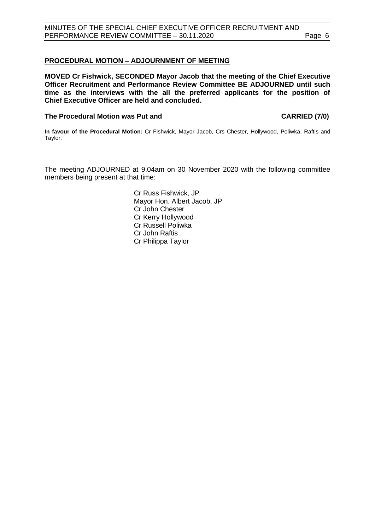# <span id="page-5-0"></span>**PROCEDURAL MOTION – ADJOURNMENT OF MEETING**

**MOVED Cr Fishwick, SECONDED Mayor Jacob that the meeting of the Chief Executive Officer Recruitment and Performance Review Committee BE ADJOURNED until such time as the interviews with the all the preferred applicants for the position of Chief Executive Officer are held and concluded.** 

### **The Procedural Motion was Put and CARRIED (7/0)**

**In favour of the Procedural Motion:** Cr Fishwick, Mayor Jacob, Crs Chester, Hollywood, Poliwka, Raftis and Taylor.

The meeting ADJOURNED at 9.04am on 30 November 2020 with the following committee members being present at that time:

> Cr Russ Fishwick, JP Mayor Hon. Albert Jacob, JP Cr John Chester Cr Kerry Hollywood Cr Russell Poliwka Cr John Raftis Cr Philippa Taylor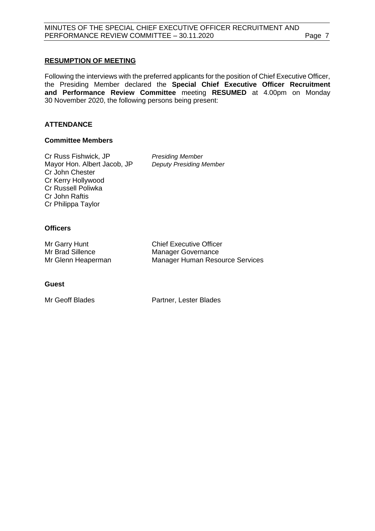# <span id="page-6-0"></span>**RESUMPTION OF MEETING**

Following the interviews with the preferred applicants for the position of Chief Executive Officer, the Presiding Member declared the **Special Chief Executive Officer Recruitment and Performance Review Committee** meeting **RESUMED** at 4.00pm on Monday 30 November 2020, the following persons being present:

# **ATTENDANCE**

### **Committee Members**

Cr Russ Fishwick, JP *Presiding Member* Mayor Hon. Albert Jacob, JP *Deputy Presiding Member* Cr John Chester Cr Kerry Hollywood Cr Russell Poliwka Cr John Raftis Cr Philippa Taylor

# **Officers**

| Mr Garry Hunt      | <b>Chief Executive Officer</b>  |
|--------------------|---------------------------------|
| Mr Brad Sillence   | <b>Manager Governance</b>       |
| Mr Glenn Heaperman | Manager Human Resource Services |

### **Guest**

Mr Geoff Blades **Partner**, Lester Blades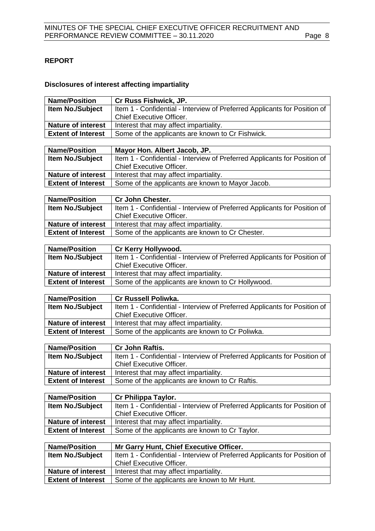# <span id="page-7-0"></span>**REPORT**

# **Disclosures of interest affecting impartiality**

| <b>Name/Position</b>      | Cr Russ Fishwick, JP.                                                                                                |
|---------------------------|----------------------------------------------------------------------------------------------------------------------|
| Item No./Subject          | Item 1 - Confidential - Interview of Preferred Applicants for Position of                                            |
|                           | Chief Executive Officer.                                                                                             |
| <b>Nature of interest</b> | Interest that may affect impartiality.                                                                               |
| <b>Extent of Interest</b> | Some of the applicants are known to Cr Fishwick.                                                                     |
|                           |                                                                                                                      |
| <b>Name/Position</b>      | Mayor Hon. Albert Jacob, JP.                                                                                         |
| <b>Item No./Subject</b>   | Item 1 - Confidential - Interview of Preferred Applicants for Position of                                            |
|                           | <b>Chief Executive Officer.</b>                                                                                      |
| <b>Nature of interest</b> | Interest that may affect impartiality.                                                                               |
| <b>Extent of Interest</b> | Some of the applicants are known to Mayor Jacob.                                                                     |
|                           |                                                                                                                      |
| <b>Name/Position</b>      | <b>Cr John Chester.</b>                                                                                              |
| Item No./Subject          | Item 1 - Confidential - Interview of Preferred Applicants for Position of                                            |
|                           | <b>Chief Executive Officer.</b>                                                                                      |
| <b>Nature of interest</b> | Interest that may affect impartiality.                                                                               |
| <b>Extent of Interest</b> | Some of the applicants are known to Cr Chester.                                                                      |
| <b>Name/Position</b>      | Cr Kerry Hollywood.                                                                                                  |
| <b>Item No./Subject</b>   | Item 1 - Confidential - Interview of Preferred Applicants for Position of                                            |
|                           | <b>Chief Executive Officer.</b>                                                                                      |
| <b>Nature of interest</b> | Interest that may affect impartiality.                                                                               |
| <b>Extent of Interest</b> | Some of the applicants are known to Cr Hollywood.                                                                    |
|                           |                                                                                                                      |
| <b>Name/Position</b>      | Cr Russell Poliwka.                                                                                                  |
|                           |                                                                                                                      |
| Item No./Subject          | Item 1 - Confidential - Interview of Preferred Applicants for Position of                                            |
|                           | Chief Executive Officer.                                                                                             |
| <b>Nature of interest</b> | Interest that may affect impartiality.                                                                               |
| <b>Extent of Interest</b> | Some of the applicants are known to Cr Poliwka.                                                                      |
|                           |                                                                                                                      |
| <b>Name/Position</b>      | Cr John Raftis.                                                                                                      |
| <b>Item No./Subject</b>   | Item 1 - Confidential - Interview of Preferred Applicants for Position of                                            |
|                           | <b>Chief Executive Officer.</b>                                                                                      |
| <b>Nature of interest</b> | Interest that may affect impartiality.                                                                               |
| <b>Extent of Interest</b> | Some of the applicants are known to Cr Raftis.                                                                       |
|                           |                                                                                                                      |
| <b>Name/Position</b>      | Cr Philippa Taylor.                                                                                                  |
| <b>Item No./Subject</b>   | Item 1 - Confidential - Interview of Preferred Applicants for Position of                                            |
|                           | <b>Chief Executive Officer.</b>                                                                                      |
| <b>Nature of interest</b> | Interest that may affect impartiality.                                                                               |
| <b>Extent of Interest</b> | Some of the applicants are known to Cr Taylor.                                                                       |
| <b>Name/Position</b>      |                                                                                                                      |
| Item No./Subject          | Mr Garry Hunt, Chief Executive Officer.<br>Item 1 - Confidential - Interview of Preferred Applicants for Position of |
|                           | Chief Executive Officer.                                                                                             |
| <b>Nature of interest</b> | Interest that may affect impartiality.                                                                               |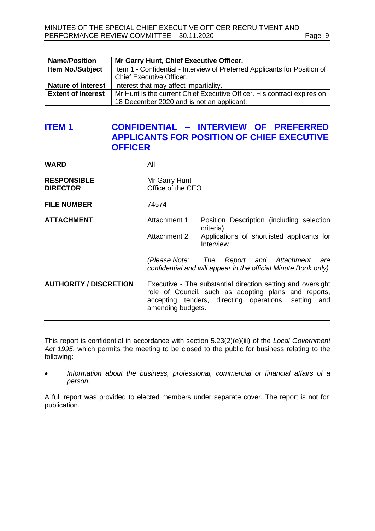MINUTES OF THE SPECIAL CHIEF EXECUTIVE OFFICER RECRUITMENT AND PERFORMANCE REVIEW COMMITTEE - 30.11.2020 Page 9

| <b>Name/Position</b>      | Mr Garry Hunt, Chief Executive Officer.                                   |
|---------------------------|---------------------------------------------------------------------------|
| <b>Item No./Subject</b>   | Item 1 - Confidential - Interview of Preferred Applicants for Position of |
|                           | <b>Chief Executive Officer.</b>                                           |
| <b>Nature of interest</b> | Interest that may affect impartiality.                                    |
| <b>Extent of Interest</b> | Mr Hunt is the current Chief Executive Officer. His contract expires on   |
|                           | 18 December 2020 and is not an applicant.                                 |

# <span id="page-8-0"></span>**ITEM 1 CONFIDENTIAL – INTERVIEW OF PREFERRED APPLICANTS FOR POSITION OF CHIEF EXECUTIVE OFFICER**

**WARD** All

| Mr Garry Hunt     |
|-------------------|
| Office of the CEO |
|                   |

**FILE NUMBER** 74574

**ATTACHMENT** Attachment 1 Position Description (including selection criteria)

> Attachment 2 Applications of shortlisted applicants for Interview

> *(Please Note: The Report and Attachment are confidential and will appear in the official Minute Book only)*

**AUTHORITY / DISCRETION** Executive - The substantial direction setting and oversight role of Council, such as adopting plans and reports, accepting tenders, directing operations, setting and amending budgets.

This report is confidential in accordance with section 5.23(2)(e)(iii) of the *Local Government Act 1995*, which permits the meeting to be closed to the public for business relating to the following:

• *Information about the business, professional, commercial or financial affairs of a person.*

A full report was provided to elected members under separate cover. The report is not for publication.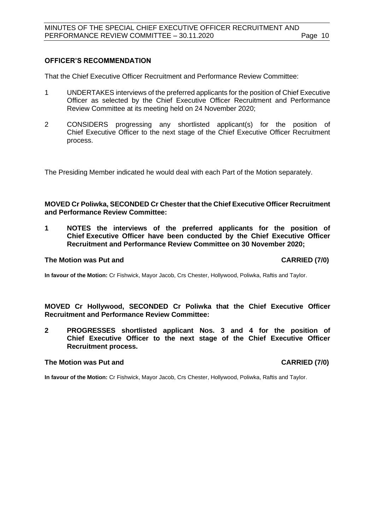### **OFFICER'S RECOMMENDATION**

That the Chief Executive Officer Recruitment and Performance Review Committee:

- 1 UNDERTAKES interviews of the preferred applicants for the position of Chief Executive Officer as selected by the Chief Executive Officer Recruitment and Performance Review Committee at its meeting held on 24 November 2020;
- 2 CONSIDERS progressing any shortlisted applicant(s) for the position of Chief Executive Officer to the next stage of the Chief Executive Officer Recruitment process.

The Presiding Member indicated he would deal with each Part of the Motion separately.

### **MOVED Cr Poliwka, SECONDED Cr Chester that the Chief Executive Officer Recruitment and Performance Review Committee:**

**1 NOTES the interviews of the preferred applicants for the position of Chief Executive Officer have been conducted by the Chief Executive Officer Recruitment and Performance Review Committee on 30 November 2020;**

# **The Motion was Put and CARRIED (7/0)**

**In favour of the Motion:** Cr Fishwick, Mayor Jacob, Crs Chester, Hollywood, Poliwka, Raftis and Taylor.

**MOVED Cr Hollywood, SECONDED Cr Poliwka that the Chief Executive Officer Recruitment and Performance Review Committee:**

<span id="page-9-0"></span>**2 PROGRESSES shortlisted applicant Nos. 3 and 4 for the position of Chief Executive Officer to the next stage of the Chief Executive Officer Recruitment process.**

# **The Motion was Put and CARRIED (7/0)**

**In favour of the Motion:** Cr Fishwick, Mayor Jacob, Crs Chester, Hollywood, Poliwka, Raftis and Taylor.